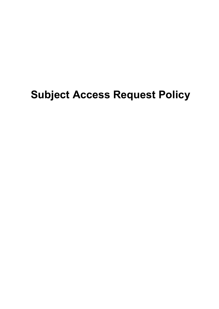# Subject Access Request Policy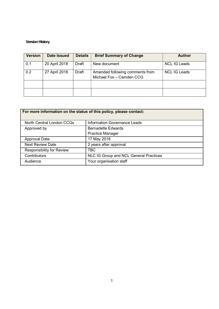## Version History

| <b>Version</b> | <b>Date Issued</b> | <b>Details</b> | <b>Brief Summary of Change</b>                              | <b>Author</b>       |
|----------------|--------------------|----------------|-------------------------------------------------------------|---------------------|
| 0.1            | 20 April 2018      | Draft          | New document                                                | <b>NCL IG Leads</b> |
| 0.2            | 27 April 2018      | Draft          | Amended following comments from<br>Michael Fox - Camden CCG | <b>NCL IG Leads</b> |
|                |                    |                |                                                             |                     |
|                |                    |                |                                                             |                     |

| For more information on the status of this policy, please contact: |                                        |  |  |  |
|--------------------------------------------------------------------|----------------------------------------|--|--|--|
| North Central London CCGs                                          | <b>Information Governance Leads</b>    |  |  |  |
| Approved by                                                        | <b>Bernadette Edwards</b>              |  |  |  |
|                                                                    | <b>Practice Manager</b>                |  |  |  |
| <b>Approval Date</b>                                               | 17 May 2018                            |  |  |  |
| <b>Next Review Date</b>                                            | 2 years after approval                 |  |  |  |
| <b>Responsibility for Review</b>                                   | <b>TBC</b>                             |  |  |  |
| Contributors                                                       | NLC IG Group and NCL General Practices |  |  |  |
| Audience                                                           | Your organisation staff                |  |  |  |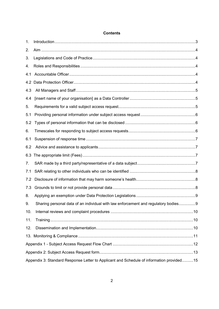| 1.  |                                                                                          |  |
|-----|------------------------------------------------------------------------------------------|--|
| 2.  |                                                                                          |  |
| 3.  |                                                                                          |  |
| 4.  |                                                                                          |  |
| 4.1 |                                                                                          |  |
| 4.2 |                                                                                          |  |
| 4.3 |                                                                                          |  |
| 4.4 |                                                                                          |  |
| 5.  |                                                                                          |  |
| 5.1 |                                                                                          |  |
| 5.2 |                                                                                          |  |
| 6.  |                                                                                          |  |
| 6.1 |                                                                                          |  |
| 6.2 |                                                                                          |  |
| 6.3 |                                                                                          |  |
| 7.  |                                                                                          |  |
| 7.1 |                                                                                          |  |
| 7.2 |                                                                                          |  |
| 7.3 |                                                                                          |  |
| 8.  |                                                                                          |  |
| 9.  | Sharing personal data of an individual with law enforcement and regulatory bodies9       |  |
| 10. |                                                                                          |  |
| 11. |                                                                                          |  |
| 12. |                                                                                          |  |
|     |                                                                                          |  |
|     |                                                                                          |  |
|     |                                                                                          |  |
|     | Appendix 3: Standard Response Letter to Applicant and Schedule of information provided15 |  |

## **Contents**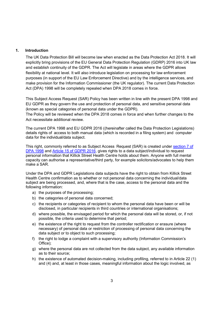## 1. Introduction

The UK Data Protection Bill will become law when enacted as the Data Protection Act 2018. It will explicitly bring provisions of the EU General Data Protection Regulation (GDRP) 2016 into UK law and establish continuity of the GDPR. The Act will legislate in areas where the GDPR allows flexibility at national level. It will also introduce legislation on processing for law enforcement purposes (in support of the EU Law Enforcement Directive) and by the intelligence services, and make provision for the Information Commissioner (the UK regulator). The current Data Protection Act (DPA) 1998 will be completely repealed when DPA 2018 comes in force.

This Subject Access Request (SAR) Policy has been written in line with the present DPA 1998 and EU GDPR as they govern the use and protection of personal data, and sensitive personal data (known as special categories of personal data under the GDPR).

The Policy will be reviewed when the DPA 2018 comes in force and when further changes to the Act necessitate additional review.

The current DPA 1998 and EU GDPR 2016 ((hereinafter called the Data Protection Legislations) details rights of access to both manual data (which is recorded in a filing system) and computer data for the individual/data subject.

This right, commonly referred to as Subject Access Request (SAR) is created under section 7 of DPA 1998 and Article 15 of GDPR 2016, gives rights to a data subject/individual to request personal information that Killick Street Health Centre holds about them. Anyone with full mental capacity can authorise a representative/third party, for example solicitors/advocates to help them make a SAR.

Under the DPA and GDPR Legislations data subjects have the right to obtain from Killick Street Health Centre confirmation as to whether or not personal data concerning the individual/data subject are being processed, and, where that is the case, access to the personal data and the following information:

- a) the purposes of the processing;
- b) the categories of personal data concerned;
- c) the recipients or categories of recipient to whom the personal data have been or will be disclosed, in particular recipients in third countries or international organisations;
- d) where possible, the envisaged period for which the personal data will be stored, or, if not possible, the criteria used to determine that period;
- e) the existence of the right to request from the controller rectification or erasure (where necessary) of personal data or restriction of processing of personal data concerning the data subject or to object to such processing;
- f) the right to lodge a complaint with a supervisory authority (Information Commission's Office);
- g) where the personal data are not collected from the data subject, any available information as to their source;
- h) the existence of automated decision-making, including profiling, referred to in Article 22 (1) and (4) and, at least in those cases, meaningful information about the logic involved, as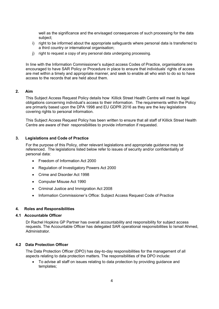well as the significance and the envisaged consequences of such processing for the data subject;

- i) right to be informed about the appropriate safeguards where personal data is transferred to a third country or international organisation;
- j) right to request a copy of any personal data undergoing processing.

In line with the Information Commissioner's subject access Codes of Practice, organisations are encouraged to have SAR Policy or Procedure in place to ensure that individuals' rights of access are met within a timely and appropriate manner, and seek to enable all who wish to do so to have access to the records that are held about them.

## 2. Aim

This Subject Access Request Policy details how Killick Street Health Centre will meet its legal obligations concerning individual's access to their information. The requirements within the Policy are primarily based upon the DPA 1998 and EU GDPR 2016 as they are the key legislations covering rights to personal information.

This Subject Access Request Policy has been written to ensure that all staff of Killick Street Health Centre are aware of their responsibilities to provide information if requested.

## 3. Legislations and Code of Practice

For the purpose of this Policy, other relevant legislations and appropriate guidance may be referenced. The legislations listed below refer to issues of security and/or confidentiality of personal data:

- Freedom of Information Act 2000
- Regulation of Investigatory Powers Act 2000
- Crime and Disorder Act 1998
- Computer Misuse Act 1990
- Criminal Justice and Immigration Act 2008
- Information Commissioner's Office: Subject Access Request Code of Practice

## 4. Roles and Responsibilities

## 4.1 Accountable Officer

Dr Rachel Hopkins GP Partner has overall accountability and responsibility for subject access requests. The Accountable Officer has delegated SAR operational responsibilities to Ismail Ahmed, Administrator.

## 4.2 Data Protection Officer

The Data Protection Officer (DPO) has day-to-day responsibilities for the management of all aspects relating to data protection matters. The responsibilities of the DPO include:

 To advise all staff on issues relating to data protection by providing guidance and templates;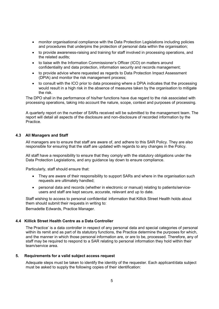- monitor organisational compliance with the Data Protection Legislations including policies and procedures that underpins the protection of personal data within the organisation;
- to provide awareness-raising and training for staff involved in processing operations, and the related audits;
- to liaise with the Information Commissioner's Officer (ICO) on matters around confidentiality and data protection, information security and records management;
- to provide advice where requested as regards to Data Protection Impact Assessment (DPIA) and monitor the risk management process;
- to consult with the ICO prior to data processing where a DPIA indicates that the processing would result in a high risk in the absence of measures taken by the organisation to mitigate the risk.

The DPO shall in the performance of his/her functions have due regard to the risk associated with processing operations, taking into account the nature, scope, context and purposes of processing.

A quarterly report on the number of SARs received will be submitted to the management team. The report will detail all aspects of the disclosure and non-disclosure of recorded information by the Practice.

## 4.3 All Managers and Staff

All managers are to ensure that staff are aware of, and adhere to this SAR Policy. They are also responsible for ensuring that the staff are updated with regards to any changes in the Policy.

All staff have a responsibility to ensure that they comply with the statutory obligations under the Data Protection Legislations, and any guidance lay down to ensure compliance.

Particularly, staff should ensure that:

- They are aware of their responsibility to support SARs and where in the organisation such requests are ultimately handled;
- personal data and records (whether in electronic or manual) relating to patients/serviceusers and staff are kept secure, accurate, relevant and up to date.

Staff wishing to access to personal confidential information that Killick Street Health holds about them should submit their requests in writing to:

Bernadette Edwards, Practice Manager.

## 4.4 Killick Street Health Centre as a Data Controller

The Practice' is a data controller in respect of any personal data and special categories of personal within its remit and as part of its statutory functions, the Practice determine the purposes for which, and the manner in which those personal information are, or are to be, processed. Therefore, any of staff may be required to respond to a SAR relating to personal information they hold within their team/service area.

## 5. Requirements for a valid subject access request

Adequate steps must be taken to identify the identity of the requester. Each applicant/data subject must be asked to supply the following copies of their identification: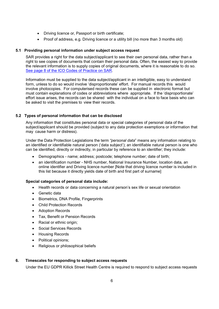- Driving licence or, Passport or birth certificate;
- Proof of address, e.g. Driving licence or a utility bill (no more than 3 months old)

## 5.1 Providing personal information under subject access request

SAR provides a right for the data subject/applicant to see their own personal data, rather than a right to see copies of documents that contain their personal data. Often, the easiest way to provide the relevant information is to supply copies of original documents, where it is reasonable to do so. See page 8 of the ICO Codes of Practice on SAR.

Information must be supplied to the data subject/applicant in an intelligible, easy to understand form, unless to do so would involve 'disproportionate' effort. For manual records this would involve photocopies. For computerised records these can be supplied in electronic format but must contain explanations of codes or abbreviations where appropriate. If the 'disproportionate' effort issue arises, the records can be shared with the individual on a face to face basis who can be asked to visit the premises to view their records.

## 5.2 Types of personal information that can be disclosed

Any information that constitutes personal data or special categories of personal data of the subject/applicant should be provided (subject to any data protection exemptions or information that may cause harm or distress).

Under the Data Protection Legislations the term "personal data" means any information relating to an identified or identifiable natural person ('data subject'); an identifiable natural person is one who can be identified, directly or indirectly, in particular by reference to an identifier; they include:

- Demographics name; address; postcode; telephone number; date of birth;
- an identification number NHS number, National Insurance Number, location data, an online identifier and Driving licence number [Note that driving licence number is included in this list because it directly yields date of birth and first part of surname]

## Special categories of personal data include:

- Health records or data concerning a natural person's sex life or sexual orientation
- Genetic data
- Biometrics, DNA Profile, Fingerprints
- Child Protection Records
- **•** Adoption Records
- Tax, Benefit or Pension Records
- Racial or ethnic origin;
- Social Services Records
- Housing Records
- Political opinions:
- Religious or philosophical beliefs

## 6. Timescales for responding to subject access requests

Under the EU GDPR Killick Street Health Centre is required to respond to subject access requests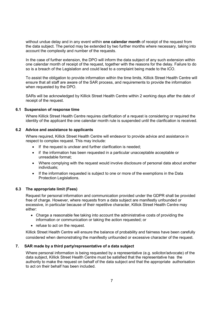without undue delay and in any event within one calendar month of receipt of the request from the data subject. The period may be extended by two further months where necessary, taking into account the complexity and number of the requests.

In the case of further extension, the DPO will inform the data subject of any such extension within one calendar month of receipt of the request, together with the reasons for the delay. Failure to do so is a breach of the Legislation and could lead to a complaint being made to the ICO.

To assist the obligation to provide information within the time limits, Killick Street Health Centre will ensure that all staff are aware of the SAR process, and requirements to provide the information when requested by the DPO.

SARs will be acknowledged by Killick Street Health Centre within 2 working days after the date of receipt of the request.

## 6.1 Suspension of response time

Where Killick Street Health Centre requires clarification of a request is considering or required the identity of the applicant the one calendar month rule is suspended until the clarification is received.

## 6.2 Advice and assistance to applicants

Where required, Killick Street Health Centre will endeavor to provide advice and assistance in respect to complex request. This may include:

- If the request is unclear and further clarification is needed;
- if the information has been requested in a particular unacceptable acceptable or unreadable format;
- Where complying with the request would involve disclosure of personal data about another individuals;
- If the information requested is subject to one or more of the exemptions in the Data Protection Legislations.

## 6.3 The appropriate limit (Fees)

Request for personal information and communication provided under the GDPR shall be provided free of charge. However, where requests from a data subject are manifestly unfounded or excessive, in particular because of their repetitive character, Killick Street Health Centre may either:

- Charge a reasonable fee taking into account the administrative costs of providing the information or communication or taking the action requested; or
- refuse to act on the request.

Killick Street Health Centre will ensure the balance of probability and fairness have been carefully considered when demonstrating the manifestly unfounded or excessive character of the request.

## 7. SAR made by a third party/representative of a data subject

Where personal information is being requested by a representative (e.g. solicitor/advocate) of the data subject, Killick Street Health Centre must be satisfied that the representative has the authority to make the request on behalf of the data subject and that the appropriate authorisation to act on their behalf has been included.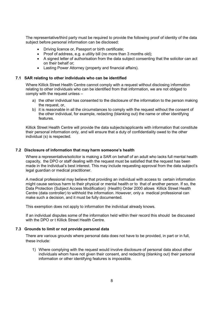The representative/third party must be required to provide the following proof of identity of the data subject before personal information can be disclosed:

- Driving licence or, Passport or birth certificate;
- Proof of address, e.g. a utility bill (no more than 3 months old);
- A signed letter of authorisation from the data subject consenting that the solicitor can act on their behalf or;
- Lasting Power Attorney (property and financial affairs).

#### 7.1 SAR relating to other individuals who can be identified

Where Killick Street Health Centre cannot comply with a request without disclosing information relating to other individuals who can be identified from that information, we are not obliged to comply with the request unless –

- a) the other individual has consented to the disclosure of the information to the person making the request, or,
- b) it is reasonable in all the circumstances to comply with the request without the consent of the other individual, for example, redacting (blanking out) the name or other identifying features.

Killick Street Health Centre will provide the data subjects/applicants with information that constitute their personal information only, and will ensure that a duty of confidentiality owed to the other individual (s) is respected.

#### 7.2 Disclosure of information that may harm someone's health

Where a representative/solicitor is making a SAR on behalf of an adult who lacks full mental health capacity, the DPO or staff dealing with the request must be satisfied that the request has been made in the individual's best interest. This may include requesting approval from the data subject's legal guardian or medical practitioner.

A medical professional may believe that providing an individual with access to certain information might cause serious harm to their physical or mental health or to that of another person. If so, the Data Protection (Subject Access Modification) (Health) Order 2000 allows Killick Street Health Centre (data controller) to withhold the information. However, only a medical professional can make such a decision, and it must be fully documented.

This exemption does not apply to information the individual already knows.

If an individual disputes some of the information held within their record this should be discussed with the DPO or t Killick Street Health Centre.

#### 7.3 Grounds to limit or not provide personal data

There are various grounds where personal data does not have to be provided, in part or in full, these include:

1) Where complying with the request would involve disclosure of personal data about other individuals whom have not given their consent, and redacting (blanking out) their personal information or other identifying features is impossible.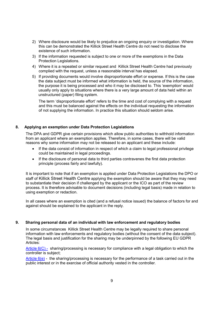- 2) Where disclosure would be likely to prejudice an ongoing enquiry or investigation. Where this can be demonstrated the Killick Street Health Centre do not need to disclose the existence of such information.
- 3) If the information requested is subject to one or more of the exemptions in the Data Protection Legislations.
- 4) Where it is a repeated or similar request and Killick Street Health Centre had previously complied with the request, unless a reasonable interval has elapsed.
- 5) If providing documents would involve disproportionate effort or expense. If this is the case the data subject must be informed what information is held, the source of the information, the purpose it is being processed and who it may be disclosed to. This 'exemption' would usually only apply to situations where there is a very large amount of data held within an unstructured (paper) filing system.

The term 'disproportionate effort' refers to the time and cost of complying with a request and this must be balanced against the effects on the individual requesting the information of not supplying the information. In practice this situation should seldom arise.

## 8. Applying an exemption under Data Protection Legislations

The DPA and GDPR give certain provisions which allow public authorities to withhold information from an applicant where an exemption applies. Therefore, in some cases, there will be valid reasons why some information may not be released to an applicant and these include:

- If the data consist of information in respect of which a claim to legal professional privilege could be maintained in legal proceedings.
- If the disclosure of personal data to third parties contravenes the first data protection principle (process fairly and lawfully).

It is important to note that if an exemption is applied under Data Protection Legislations the DPO or staff of Killick Street Health Centre applying the exemption should be aware that they may need to substantiate their decision if challenged by the applicant or the ICO as part of the review process. It is therefore advisable to document decisions (including legal basis) made in relation to using exemption or redaction.

In all cases where an exemption is cited (and a refusal notice issued) the balance of factors for and against should be explained to the applicant in the reply.

## 9. Sharing personal data of an individual with law enforcement and regulatory bodies

In some circumstances Killick Street Health Centre may be legally required to share personal information with law enforcements and regulatory bodies (without the consent of the data subject). The legal basis and justification for the sharing may be underpinned by the following EU GDPR Articles:

Article 6(C) - sharing/processing is necessary for compliance with a legal obligation to which the controller is subject;

Article  $6(e)$  - the sharing/processing is necessary for the performance of a task carried out in the public interest or in the exercise of official authority vested in the controller.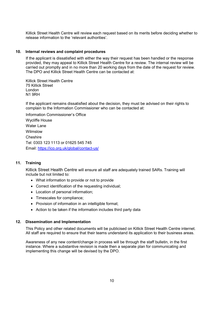Killick Street Health Centre will review each request based on its merits before deciding whether to release information to the 'relevant authorities'.

#### 10. Internal reviews and complaint procedures

If the applicant is dissatisfied with either the way their request has been handled or the response provided, they may appeal to Killick Street Health Centre for a review. The internal review will be carried out promptly and in no more than 20 working days from the date of the request for review. The DPO and Killick Street Health Centre can be contacted at:

Killick Street Health Centre 75 Killick Street London N1 9RH

If the applicant remains dissatisfied about the decision, they must be advised on their rights to complain to the Information Commissioner who can be contacted at:

Information Commissioner's Office Wycliffe House Water Lane Wilmslow Cheshire Tel: 0303 123 1113 or 01625 545 745 Email: https://ico.org.uk/global/contact-us/

## 11. Training

Killick Street Health Centre will ensure all staff are adequately trained SARs. Training will include but not limited to:

- What information to provide or not to provide
- Correct identification of the requesting individual;
- Location of personal information;
- Timescales for compliance;
- Provision of information in an intelligible format;
- Action to be taken if the information includes third party data

#### 12. Dissemination and Implementation

This Policy and other related documents will be publicised on Killick Street Health Centre internet. All staff are required to ensure that their teams understand its application to their business areas.

Awareness of any new content/change in process will be through the staff bulletin, in the first instance. Where a substantive revision is made then a separate plan for communicating and implementing this change will be devised by the DPO.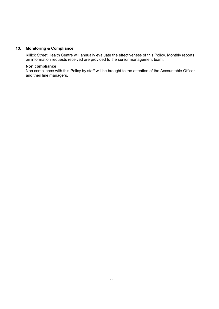## 13. Monitoring & Compliance

Killick Street Health Centre will annually evaluate the effectiveness of this Policy. Monthly reports on information requests received are provided to the senior management team.

#### Non compliance

Non compliance with this Policy by staff will be brought to the attention of the Accountable Officer and their line managers.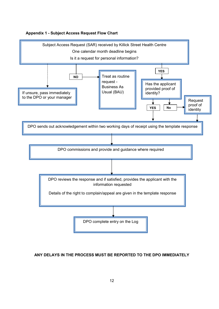



## ANY DELAYS IN THE PROCESS MUST BE REPORTED TO THE DPO IMMEDIATELY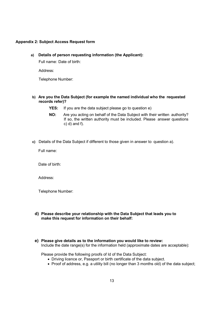## Appendix 2: Subject Access Request form

## a) Details of person requesting information (the Applicant):

Full name: Date of birth:

Address:

Telephone Number:

- b) Are you the Data Subject (for example the named individual who the requested records refer)?
	- YES: If you are the data subject please go to question e)
	- NO: Are you acting on behalf of the Data Subject with their written authority? If so, the written authority must be included. Please answer questions  $c)$  d) and f).
- c) Details of the Data Subject if different to those given in answer to question a).

Full name:

Date of birth:

Address:

Telephone Number:

- d) Please describe your relationship with the Data Subject that leads you to make this request for information on their behalf:
- e) Please give details as to the information you would like to review: Include the date range(s) for the information held (approximate dates are acceptable):

Please provide the following proofs of Id of the Data Subject:

- Driving licence or, Passport or birth certificate of the data subject.
- Proof of address, e.g. a utility bill (no longer than 3 months old) of the data subject;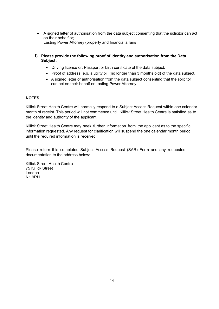- A signed letter of authorisation from the data subject consenting that the solicitor can act on their behalf or; Lasting Power Attorney (property and financial affairs
- f) Please provide the following proof of Identity and authorisation from the Data Subject:
	- Driving licence or, Passport or birth certificate of the data subject.
	- Proof of address, e.g. a utility bill (no longer than 3 months old) of the data subject.
	- A signed letter of authorisation from the data subject consenting that the solicitor can act on their behalf or Lasting Power Attorney.

## NOTES:

Killick Street Health Centre will normally respond to a Subject Access Request within one calendar month of receipt. This period will not commence until Killick Street Health Centre is satisfied as to the identity and authority of the applicant.

Killick Street Health Centre may seek further information from the applicant as to the specific information requested. Any request for clarification will suspend the one calendar month period until the required information is received.

Please return this completed Subject Access Request (SAR) Form and any requested documentation to the address below:

Killick Street Health Centre 75 Killick Street London N1 9RH